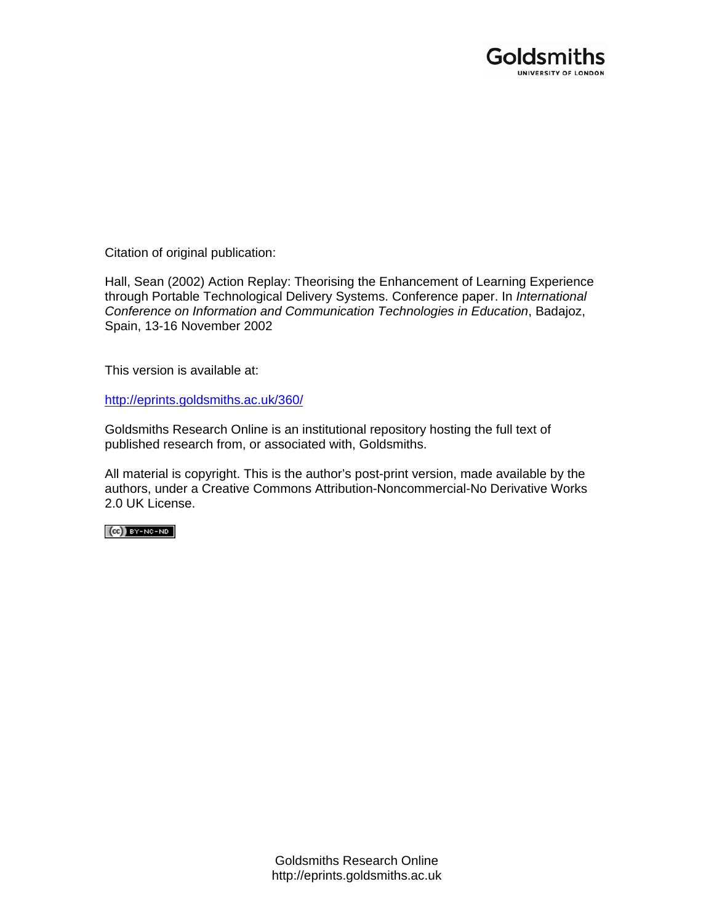

Citation of original publication:

Hall, Sean (2002) Action Replay: Theorising the Enhancement of Learning Experience through Portable Technological Delivery Systems. Conference paper. In *International Conference on Information and Communication Technologies in Education*, Badajoz, Spain, 13-16 November 2002

This version is available at:

[http://eprints.goldsmiths.ac.uk/360/](http://eprints.goldsmiths.ac.uk/211/)

Goldsmiths Research Online is an institutional repository hosting the full text of published research from, or associated with, Goldsmiths.

All material is copyright. This is the author's post-print version, made available by the authors, under a Creative Commons Attribution-Noncommercial-No Derivative Works 2.0 UK License.

 $(cc)$  BY-NC-ND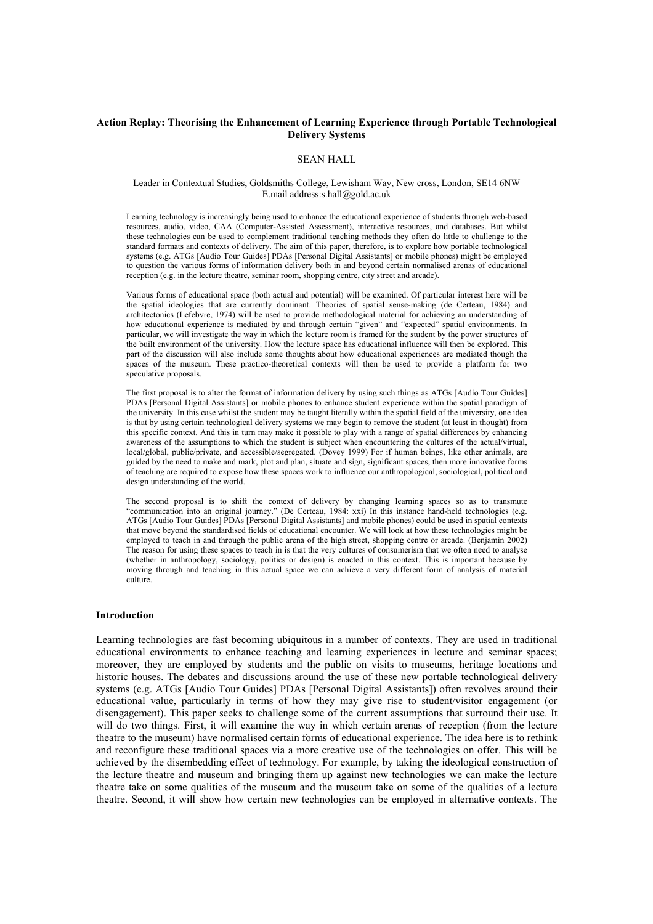### **Action Replay: Theorising the Enhancement of Learning Experience through Portable Technological Delivery Systems**

### SEAN HALL

#### Leader in Contextual Studies, Goldsmiths College, Lewisham Way, New cross, London, SE14 6NW E.mail address:s.hall@gold.ac.uk

Learning technology is increasingly being used to enhance the educational experience of students through web-based resources, audio, video, CAA (Computer-Assisted Assessment), interactive resources, and databases. But whilst these technologies can be used to complement traditional teaching methods they often do little to challenge to the standard formats and contexts of delivery. The aim of this paper, therefore, is to explore how portable technological systems (e.g. ATGs [Audio Tour Guides] PDAs [Personal Digital Assistants] or mobile phones) might be employed to question the various forms of information delivery both in and beyond certain normalised arenas of educational reception (e.g. in the lecture theatre, seminar room, shopping centre, city street and arcade).

Various forms of educational space (both actual and potential) will be examined. Of particular interest here will be the spatial ideologies that are currently dominant. Theories of spatial sense-making (de Certeau, 1984) and architectonics (Lefebvre, 1974) will be used to provide methodological material for achieving an understanding of how educational experience is mediated by and through certain "given" and "expected" spatial environments. In particular, we will investigate the way in which the lecture room is framed for the student by the power structures of the built environment of the university. How the lecture space has educational influence will then be explored. This part of the discussion will also include some thoughts about how educational experiences are mediated though the spaces of the museum. These practico-theoretical contexts will then be used to provide a platform for two speculative proposals.

The first proposal is to alter the format of information delivery by using such things as ATGs [Audio Tour Guides] PDAs [Personal Digital Assistants] or mobile phones to enhance student experience within the spatial paradigm of the university. In this case whilst the student may be taught literally within the spatial field of the university, one idea is that by using certain technological delivery systems we may begin to remove the student (at least in thought) from this specific context. And this in turn may make it possible to play with a range of spatial differences by enhancing awareness of the assumptions to which the student is subject when encountering the cultures of the actual/virtual, local/global, public/private, and accessible/segregated. (Dovey 1999) For if human beings, like other animals, are guided by the need to make and mark, plot and plan, situate and sign, significant spaces, then more innovative forms of teaching are required to expose how these spaces work to influence our anthropological, sociological, political and design understanding of the world.

The second proposal is to shift the context of delivery by changing learning spaces so as to transmute "communication into an original journey." (De Certeau, 1984: xxi) In this instance hand-held technologies (e.g. ATGs [Audio Tour Guides] PDAs [Personal Digital Assistants] and mobile phones) could be used in spatial contexts that move beyond the standardised fields of educational encounter. We will look at how these technologies might be employed to teach in and through the public arena of the high street, shopping centre or arcade. (Benjamin 2002) The reason for using these spaces to teach in is that the very cultures of consumerism that we often need to analyse (whether in anthropology, sociology, politics or design) is enacted in this context. This is important because by moving through and teaching in this actual space we can achieve a very different form of analysis of material culture.

#### **Introduction**

Learning technologies are fast becoming ubiquitous in a number of contexts. They are used in traditional educational environments to enhance teaching and learning experiences in lecture and seminar spaces; moreover, they are employed by students and the public on visits to museums, heritage locations and historic houses. The debates and discussions around the use of these new portable technological delivery systems (e.g. ATGs [Audio Tour Guides] PDAs [Personal Digital Assistants]) often revolves around their educational value, particularly in terms of how they may give rise to student/visitor engagement (or disengagement). This paper seeks to challenge some of the current assumptions that surround their use. It will do two things. First, it will examine the way in which certain arenas of reception (from the lecture theatre to the museum) have normalised certain forms of educational experience. The idea here is to rethink and reconfigure these traditional spaces via a more creative use of the technologies on offer. This will be achieved by the disembedding effect of technology. For example, by taking the ideological construction of the lecture theatre and museum and bringing them up against new technologies we can make the lecture theatre take on some qualities of the museum and the museum take on some of the qualities of a lecture theatre. Second, it will show how certain new technologies can be employed in alternative contexts. The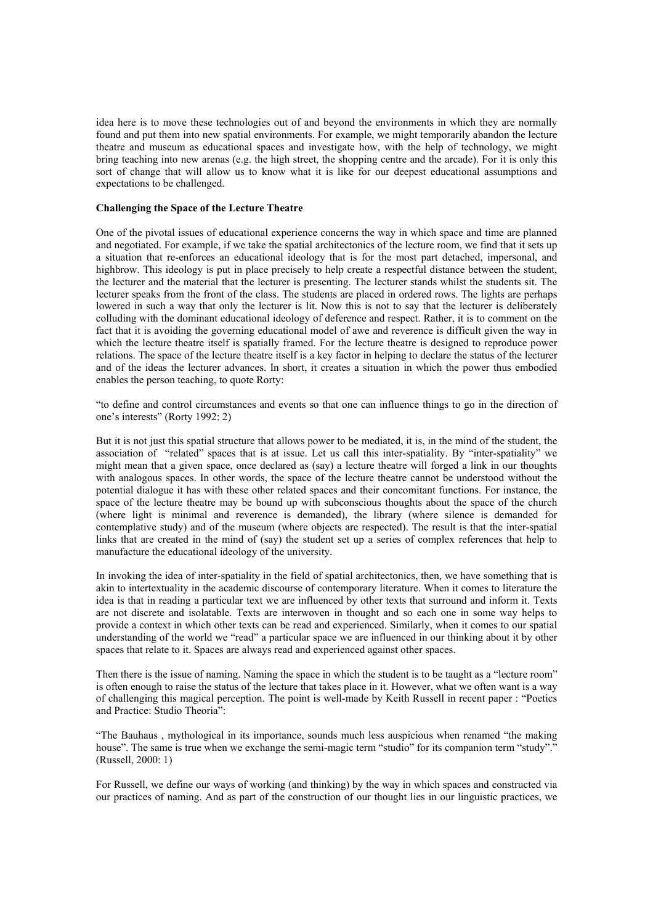idea here is to move these technologies out of and beyond the environments in which they are normally found and put them into new spatial environments. For example, we might temporarily abandon the lecture theatre and museum as educational spaces and investigate how, with the help of technology, we might bring teaching into new arenas (e.g. the high street, the shopping centre and the arcade). For it is only this sort of change that will allow us to know what it is like for our deepest educational assumptions and expectations to be challenged.

## **Challenging the Space of the Lecture Theatre**

One of the pivotal issues of educational experience concerns the way in which space and time are planned and negotiated. For example, if we take the spatial architectonics of the lecture room, we find that it sets up a situation that re-enforces an educational ideology that is for the most part detached, impersonal, and highbrow. This ideology is put in place precisely to help create a respectful distance between the student, the lecturer and the material that the lecturer is presenting. The lecturer stands whilst the students sit. The lecturer speaks from the front of the class. The students are placed in ordered rows. The lights are perhaps lowered in such a way that only the lecturer is lit. Now this is not to say that the lecturer is deliberately colluding with the dominant educational ideology of deference and respect. Rather, it is to comment on the fact that it is avoiding the governing educational model of awe and reverence is difficult given the way in which the lecture theatre itself is spatially framed. For the lecture theatre is designed to reproduce power relations. The space of the lecture theatre itself is a key factor in helping to declare the status of the lecturer and of the ideas the lecturer advances. In short, it creates a situation in which the power thus embodied enables the person teaching, to quote Rorty:

"to define and control circumstances and events so that one can influence things to go in the direction of one's interests" (Rorty 1992: 2)

But it is not just this spatial structure that allows power to be mediated, it is, in the mind of the student, the association of "related" spaces that is at issue. Let us call this inter-spatiality. By "inter-spatiality" we might mean that a given space, once declared as (say) a lecture theatre will forged a link in our thoughts with analogous spaces. In other words, the space of the lecture theatre cannot be understood without the potential dialogue it has with these other related spaces and their concomitant functions. For instance, the space of the lecture theatre may be bound up with subconscious thoughts about the space of the church (where light is minimal and reverence is demanded), the library (where silence is demanded for contemplative study) and of the museum (where objects are respected). The result is that the inter-spatial links that are created in the mind of (say) the student set up a series of complex references that help to manufacture the educational ideology of the university.

In invoking the idea of inter-spatiality in the field of spatial architectonics, then, we have something that is akin to intertextuality in the academic discourse of contemporary literature. When it comes to literature the idea is that in reading a particular text we are influenced by other texts that surround and inform it. Texts are not discrete and isolatable. Texts are interwoven in thought and so each one in some way helps to provide a context in which other texts can be read and experienced. Similarly, when it comes to our spatial understanding of the world we "read" a particular space we are influenced in our thinking about it by other spaces that relate to it. Spaces are always read and experienced against other spaces.

Then there is the issue of naming. Naming the space in which the student is to be taught as a "lecture room" is often enough to raise the status of the lecture that takes place in it. However, what we often want is a way of challenging this magical perception. The point is well-made by Keith Russell in recent paper : "Poetics and Practice: Studio Theoria":

"The Bauhaus , mythological in its importance, sounds much less auspicious when renamed "the making house". The same is true when we exchange the semi-magic term "studio" for its companion term "study"." (Russell, 2000: 1)

For Russell, we define our ways of working (and thinking) by the way in which spaces and constructed via our practices of naming. And as part of the construction of our thought lies in our linguistic practices, we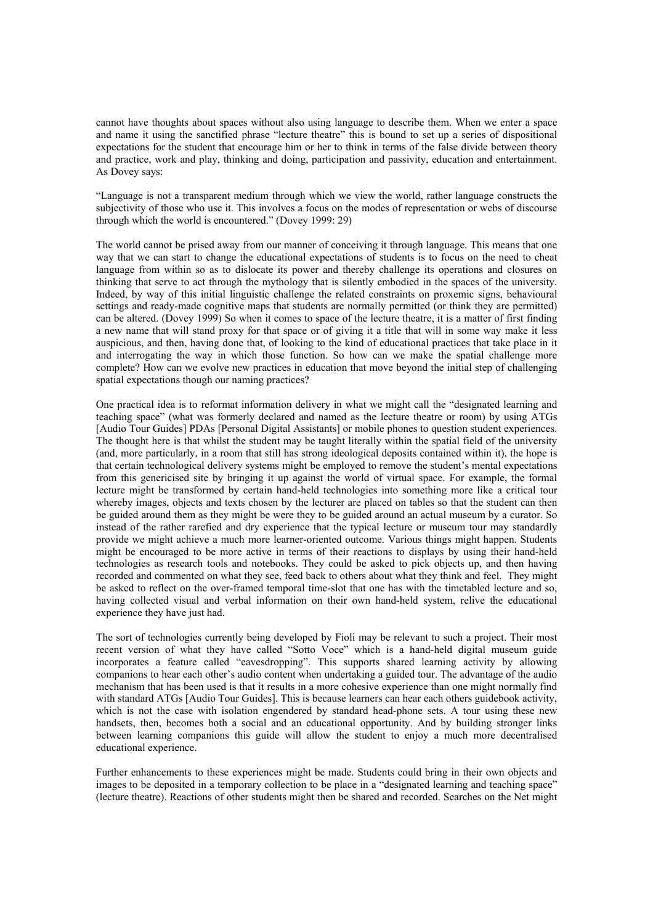cannot have thoughts about spaces without also using language to describe them. When we enter a space and name it using the sanctified phrase "lecture theatre" this is bound to set up a series of dispositional expectations for the student that encourage him or her to think in terms of the false divide between theory and practice, work and play, thinking and doing, participation and passivity, education and entertainment. As Dovey says:

"Language is not a transparent medium through which we view the world, rather language constructs the subjectivity of those who use it. This involves a focus on the modes of representation or webs of discourse through which the world is encountered." (Dovey 1999: 29)

The world cannot be prised away from our manner of conceiving it through language. This means that one way that we can start to change the educational expectations of students is to focus on the need to cheat language from within so as to dislocate its power and thereby challenge its operations and closures on thinking that serve to act through the mythology that is silently embodied in the spaces of the university. Indeed, by way of this initial linguistic challenge the related constraints on proxemic signs, behavioural settings and ready-made cognitive maps that students are normally permitted (or think they are permitted) can be altered. (Dovey 1999) So when it comes to space of the lecture theatre, it is a matter of first finding a new name that will stand proxy for that space or of giving it a title that will in some way make it less auspicious, and then, having done that, of looking to the kind of educational practices that take place in it and interrogating the way in which those function. So how can we make the spatial challenge more complete? How can we evolve new practices in education that move beyond the initial step of challenging spatial expectations though our naming practices?

One practical idea is to reformat information delivery in what we might call the "designated learning and teaching space" (what was formerly declared and named as the lecture theatre or room) by using ATGs [Audio Tour Guides] PDAs [Personal Digital Assistants] or mobile phones to question student experiences. The thought here is that whilst the student may be taught literally within the spatial field of the university (and, more particularly, in a room that still has strong ideological deposits contained within it), the hope is that certain technological delivery systems might be employed to remove the student's mental expectations from this genericised site by bringing it up against the world of virtual space. For example, the formal lecture might be transformed by certain hand-held technologies into something more like a critical tour whereby images, objects and texts chosen by the lecturer are placed on tables so that the student can then be guided around them as they might be were they to be guided around an actual museum by a curator. So instead of the rather rarefied and dry experience that the typical lecture or museum tour may standardly provide we might achieve a much more learner-oriented outcome. Various things might happen. Students might be encouraged to be more active in terms of their reactions to displays by using their hand-held technologies as research tools and notebooks. They could be asked to pick objects up, and then having recorded and commented on what they see, feed back to others about what they think and feel. They might be asked to reflect on the over-framed temporal time-slot that one has with the timetabled lecture and so, having collected visual and verbal information on their own hand-held system, relive the educational experience they have just had.

The sort of technologies currently being developed by Fioli may be relevant to such a project. Their most recent version of what they have called "Sotto Voce" which is a hand-held digital museum guide incorporates a feature called "eavesdropping". This supports shared learning activity by allowing companions to hear each other's audio content when undertaking a guided tour. The advantage of the audio mechanism that has been used is that it results in a more cohesive experience than one might normally find with standard ATGs [Audio Tour Guides]. This is because learners can hear each others guidebook activity, which is not the case with isolation engendered by standard head-phone sets. A tour using these new handsets, then, becomes both a social and an educational opportunity. And by building stronger links between learning companions this guide will allow the student to enjoy a much more decentralised educational experience.

Further enhancements to these experiences might be made. Students could bring in their own objects and images to be deposited in a temporary collection to be place in a "designated learning and teaching space" (lecture theatre). Reactions of other students might then be shared and recorded. Searches on the Net might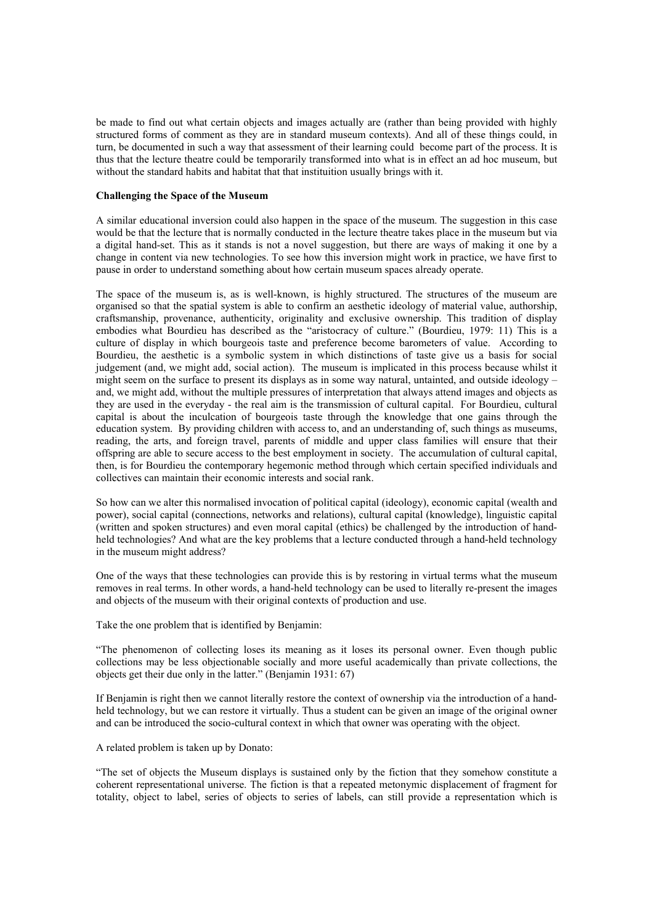be made to find out what certain objects and images actually are (rather than being provided with highly structured forms of comment as they are in standard museum contexts). And all of these things could, in turn, be documented in such a way that assessment of their learning could become part of the process. It is thus that the lecture theatre could be temporarily transformed into what is in effect an ad hoc museum, but without the standard habits and habitat that that instituition usually brings with it.

### **Challenging the Space of the Museum**

A similar educational inversion could also happen in the space of the museum. The suggestion in this case would be that the lecture that is normally conducted in the lecture theatre takes place in the museum but via a digital hand-set. This as it stands is not a novel suggestion, but there are ways of making it one by a change in content via new technologies. To see how this inversion might work in practice, we have first to pause in order to understand something about how certain museum spaces already operate.

The space of the museum is, as is well-known, is highly structured. The structures of the museum are organised so that the spatial system is able to confirm an aesthetic ideology of material value, authorship, craftsmanship, provenance, authenticity, originality and exclusive ownership. This tradition of display embodies what Bourdieu has described as the "aristocracy of culture." (Bourdieu, 1979: 11) This is a culture of display in which bourgeois taste and preference become barometers of value. According to Bourdieu, the aesthetic is a symbolic system in which distinctions of taste give us a basis for social judgement (and, we might add, social action). The museum is implicated in this process because whilst it might seem on the surface to present its displays as in some way natural, untainted, and outside ideology – and, we might add, without the multiple pressures of interpretation that always attend images and objects as they are used in the everyday - the real aim is the transmission of cultural capital. For Bourdieu, cultural capital is about the inculcation of bourgeois taste through the knowledge that one gains through the education system. By providing children with access to, and an understanding of, such things as museums, reading, the arts, and foreign travel, parents of middle and upper class families will ensure that their offspring are able to secure access to the best employment in society. The accumulation of cultural capital, then, is for Bourdieu the contemporary hegemonic method through which certain specified individuals and collectives can maintain their economic interests and social rank.

So how can we alter this normalised invocation of political capital (ideology), economic capital (wealth and power), social capital (connections, networks and relations), cultural capital (knowledge), linguistic capital (written and spoken structures) and even moral capital (ethics) be challenged by the introduction of handheld technologies? And what are the key problems that a lecture conducted through a hand-held technology in the museum might address?

One of the ways that these technologies can provide this is by restoring in virtual terms what the museum removes in real terms. In other words, a hand-held technology can be used to literally re-present the images and objects of the museum with their original contexts of production and use.

Take the one problem that is identified by Benjamin:

"The phenomenon of collecting loses its meaning as it loses its personal owner. Even though public collections may be less objectionable socially and more useful academically than private collections, the objects get their due only in the latter." (Benjamin 1931: 67)

If Benjamin is right then we cannot literally restore the context of ownership via the introduction of a handheld technology, but we can restore it virtually. Thus a student can be given an image of the original owner and can be introduced the socio-cultural context in which that owner was operating with the object.

A related problem is taken up by Donato:

"The set of objects the Museum displays is sustained only by the fiction that they somehow constitute a coherent representational universe. The fiction is that a repeated metonymic displacement of fragment for totality, object to label, series of objects to series of labels, can still provide a representation which is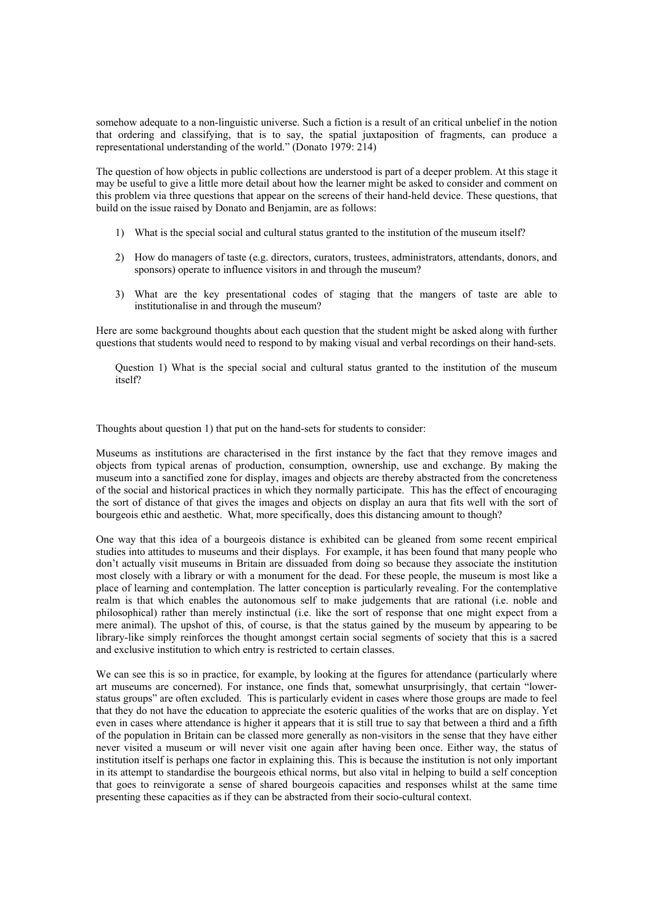somehow adequate to a non-linguistic universe. Such a fiction is a result of an critical unbelief in the notion that ordering and classifying, that is to say, the spatial juxtaposition of fragments, can produce a representational understanding of the world." (Donato 1979: 214)

The question of how objects in public collections are understood is part of a deeper problem. At this stage it may be useful to give a little more detail about how the learner might be asked to consider and comment on this problem via three questions that appear on the screens of their hand-held device. These questions, that build on the issue raised by Donato and Benjamin, are as follows:

- 1) What is the special social and cultural status granted to the institution of the museum itself?
- 2) How do managers of taste (e.g. directors, curators, trustees, administrators, attendants, donors, and sponsors) operate to influence visitors in and through the museum?
- 3) What are the key presentational codes of staging that the mangers of taste are able to institutionalise in and through the museum?

Here are some background thoughts about each question that the student might be asked along with further questions that students would need to respond to by making visual and verbal recordings on their hand-sets.

Question 1) What is the special social and cultural status granted to the institution of the museum itself?

Thoughts about question 1) that put on the hand-sets for students to consider:

Museums as institutions are characterised in the first instance by the fact that they remove images and objects from typical arenas of production, consumption, ownership, use and exchange. By making the museum into a sanctified zone for display, images and objects are thereby abstracted from the concreteness of the social and historical practices in which they normally participate. This has the effect of encouraging the sort of distance of that gives the images and objects on display an aura that fits well with the sort of bourgeois ethic and aesthetic. What, more specifically, does this distancing amount to though?

One way that this idea of a bourgeois distance is exhibited can be gleaned from some recent empirical studies into attitudes to museums and their displays. For example, it has been found that many people who don't actually visit museums in Britain are dissuaded from doing so because they associate the institution most closely with a library or with a monument for the dead. For these people, the museum is most like a place of learning and contemplation. The latter conception is particularly revealing. For the contemplative realm is that which enables the autonomous self to make judgements that are rational (i.e. noble and philosophical) rather than merely instinctual (i.e. like the sort of response that one might expect from a mere animal). The upshot of this, of course, is that the status gained by the museum by appearing to be library-like simply reinforces the thought amongst certain social segments of society that this is a sacred and exclusive institution to which entry is restricted to certain classes.

We can see this is so in practice, for example, by looking at the figures for attendance (particularly where art museums are concerned). For instance, one finds that, somewhat unsurprisingly, that certain "lowerstatus groups" are often excluded. This is particularly evident in cases where those groups are made to feel that they do not have the education to appreciate the esoteric qualities of the works that are on display. Yet even in cases where attendance is higher it appears that it is still true to say that between a third and a fifth of the population in Britain can be classed more generally as non-visitors in the sense that they have either never visited a museum or will never visit one again after having been once. Either way, the status of institution itself is perhaps one factor in explaining this. This is because the institution is not only important in its attempt to standardise the bourgeois ethical norms, but also vital in helping to build a self conception that goes to reinvigorate a sense of shared bourgeois capacities and responses whilst at the same time presenting these capacities as if they can be abstracted from their socio-cultural context.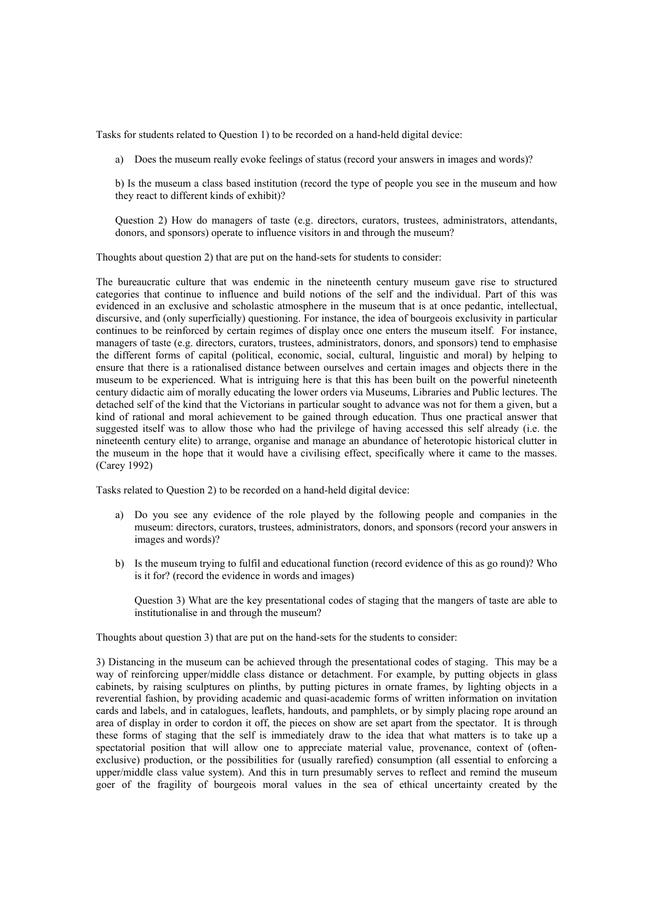Tasks for students related to Question 1) to be recorded on a hand-held digital device:

a) Does the museum really evoke feelings of status (record your answers in images and words)?

b) Is the museum a class based institution (record the type of people you see in the museum and how they react to different kinds of exhibit)?

Question 2) How do managers of taste (e.g. directors, curators, trustees, administrators, attendants, donors, and sponsors) operate to influence visitors in and through the museum?

Thoughts about question 2) that are put on the hand-sets for students to consider:

The bureaucratic culture that was endemic in the nineteenth century museum gave rise to structured categories that continue to influence and build notions of the self and the individual. Part of this was evidenced in an exclusive and scholastic atmosphere in the museum that is at once pedantic, intellectual, discursive, and (only superficially) questioning. For instance, the idea of bourgeois exclusivity in particular continues to be reinforced by certain regimes of display once one enters the museum itself. For instance, managers of taste (e.g. directors, curators, trustees, administrators, donors, and sponsors) tend to emphasise the different forms of capital (political, economic, social, cultural, linguistic and moral) by helping to ensure that there is a rationalised distance between ourselves and certain images and objects there in the museum to be experienced. What is intriguing here is that this has been built on the powerful nineteenth century didactic aim of morally educating the lower orders via Museums, Libraries and Public lectures. The detached self of the kind that the Victorians in particular sought to advance was not for them a given, but a kind of rational and moral achievement to be gained through education. Thus one practical answer that suggested itself was to allow those who had the privilege of having accessed this self already (i.e. the nineteenth century elite) to arrange, organise and manage an abundance of heterotopic historical clutter in the museum in the hope that it would have a civilising effect, specifically where it came to the masses. (Carey 1992)

Tasks related to Question 2) to be recorded on a hand-held digital device:

- a) Do you see any evidence of the role played by the following people and companies in the museum: directors, curators, trustees, administrators, donors, and sponsors (record your answers in images and words)?
- b) Is the museum trying to fulfil and educational function (record evidence of this as go round)? Who is it for? (record the evidence in words and images)

Question 3) What are the key presentational codes of staging that the mangers of taste are able to institutionalise in and through the museum?

Thoughts about question 3) that are put on the hand-sets for the students to consider:

3) Distancing in the museum can be achieved through the presentational codes of staging. This may be a way of reinforcing upper/middle class distance or detachment. For example, by putting objects in glass cabinets, by raising sculptures on plinths, by putting pictures in ornate frames, by lighting objects in a reverential fashion, by providing academic and quasi-academic forms of written information on invitation cards and labels, and in catalogues, leaflets, handouts, and pamphlets, or by simply placing rope around an area of display in order to cordon it off, the pieces on show are set apart from the spectator. It is through these forms of staging that the self is immediately draw to the idea that what matters is to take up a spectatorial position that will allow one to appreciate material value, provenance, context of (oftenexclusive) production, or the possibilities for (usually rarefied) consumption (all essential to enforcing a upper/middle class value system). And this in turn presumably serves to reflect and remind the museum goer of the fragility of bourgeois moral values in the sea of ethical uncertainty created by the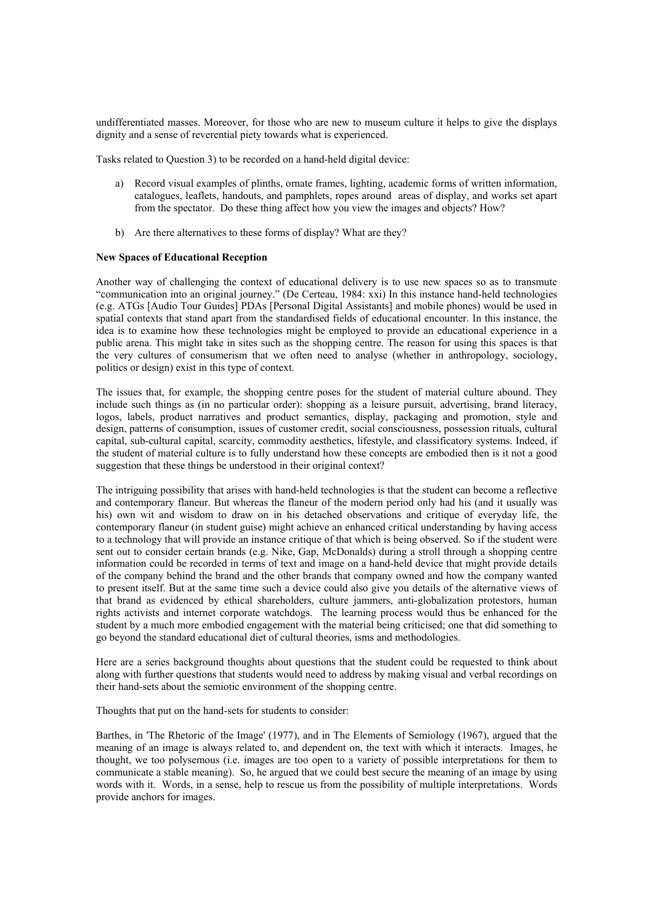undifferentiated masses. Moreover, for those who are new to museum culture it helps to give the displays dignity and a sense of reverential piety towards what is experienced.

Tasks related to Question 3) to be recorded on a hand-held digital device:

- a) Record visual examples of plinths, ornate frames, lighting, academic forms of written information, catalogues, leaflets, handouts, and pamphlets, ropes around areas of display, and works set apart from the spectator. Do these thing affect how you view the images and objects? How?
- b) Are there alternatives to these forms of display? What are they?

# **New Spaces of Educational Reception**

Another way of challenging the context of educational delivery is to use new spaces so as to transmute "communication into an original journey." (De Certeau, 1984: xxi) In this instance hand-held technologies (e.g. ATGs [Audio Tour Guides] PDAs [Personal Digital Assistants] and mobile phones) would be used in spatial contexts that stand apart from the standardised fields of educational encounter. In this instance, the idea is to examine how these technologies might be employed to provide an educational experience in a public arena. This might take in sites such as the shopping centre. The reason for using this spaces is that the very cultures of consumerism that we often need to analyse (whether in anthropology, sociology, politics or design) exist in this type of context.

The issues that, for example, the shopping centre poses for the student of material culture abound. They include such things as (in no particular order): shopping as a leisure pursuit, advertising, brand literacy, logos, labels, product narratives and product semantics, display, packaging and promotion, style and design, patterns of consumption, issues of customer credit, social consciousness, possession rituals, cultural capital, sub-cultural capital, scarcity, commodity aesthetics, lifestyle, and classificatory systems. Indeed, if the student of material culture is to fully understand how these concepts are embodied then is it not a good suggestion that these things be understood in their original context?

The intriguing possibility that arises with hand-held technologies is that the student can become a reflective and contemporary flaneur. But whereas the flaneur of the modern period only had his (and it usually was his) own wit and wisdom to draw on in his detached observations and critique of everyday life, the contemporary flaneur (in student guise) might achieve an enhanced critical understanding by having access to a technology that will provide an instance critique of that which is being observed. So if the student were sent out to consider certain brands (e.g. Nike, Gap, McDonalds) during a stroll through a shopping centre information could be recorded in terms of text and image on a hand-held device that might provide details of the company behind the brand and the other brands that company owned and how the company wanted to present itself. But at the same time such a device could also give you details of the alternative views of that brand as evidenced by ethical shareholders, culture jammers, anti-globalization protestors, human rights activists and internet corporate watchdogs. The learning process would thus be enhanced for the student by a much more embodied engagement with the material being criticised; one that did something to go beyond the standard educational diet of cultural theories, isms and methodologies.

Here are a series background thoughts about questions that the student could be requested to think about along with further questions that students would need to address by making visual and verbal recordings on their hand-sets about the semiotic environment of the shopping centre.

Thoughts that put on the hand-sets for students to consider:

Barthes, in 'The Rhetoric of the Image' (1977), and in The Elements of Semiology (1967), argued that the meaning of an image is always related to, and dependent on, the text with which it interacts. Images, he thought, we too polysemous (i.e. images are too open to a variety of possible interpretations for them to communicate a stable meaning). So, he argued that we could best secure the meaning of an image by using words with it. Words, in a sense, help to rescue us from the possibility of multiple interpretations. Words provide anchors for images.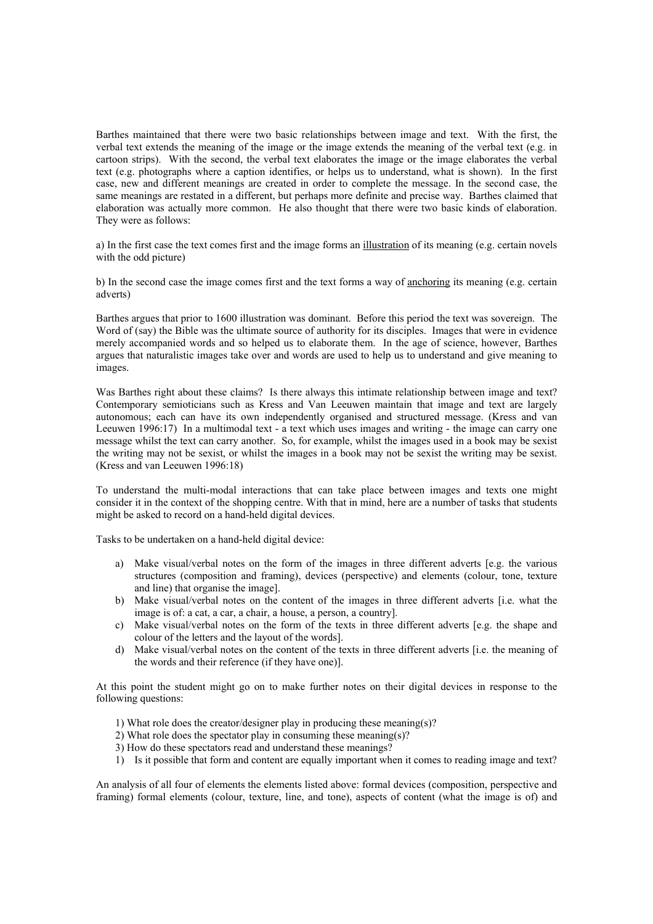Barthes maintained that there were two basic relationships between image and text. With the first, the verbal text extends the meaning of the image or the image extends the meaning of the verbal text (e.g. in cartoon strips). With the second, the verbal text elaborates the image or the image elaborates the verbal text (e.g. photographs where a caption identifies, or helps us to understand, what is shown). In the first case, new and different meanings are created in order to complete the message. In the second case, the same meanings are restated in a different, but perhaps more definite and precise way. Barthes claimed that elaboration was actually more common. He also thought that there were two basic kinds of elaboration. They were as follows:

a) In the first case the text comes first and the image forms an illustration of its meaning (e.g. certain novels with the odd picture)

b) In the second case the image comes first and the text forms a way of anchoring its meaning (e.g. certain adverts)

Barthes argues that prior to 1600 illustration was dominant. Before this period the text was sovereign. The Word of (say) the Bible was the ultimate source of authority for its disciples. Images that were in evidence merely accompanied words and so helped us to elaborate them. In the age of science, however, Barthes argues that naturalistic images take over and words are used to help us to understand and give meaning to images.

Was Barthes right about these claims? Is there always this intimate relationship between image and text? Contemporary semioticians such as Kress and Van Leeuwen maintain that image and text are largely autonomous; each can have its own independently organised and structured message. (Kress and van Leeuwen 1996:17) In a multimodal text - a text which uses images and writing - the image can carry one message whilst the text can carry another. So, for example, whilst the images used in a book may be sexist the writing may not be sexist, or whilst the images in a book may not be sexist the writing may be sexist. (Kress and van Leeuwen 1996:18)

To understand the multi-modal interactions that can take place between images and texts one might consider it in the context of the shopping centre. With that in mind, here are a number of tasks that students might be asked to record on a hand-held digital devices.

Tasks to be undertaken on a hand-held digital device:

- a) Make visual/verbal notes on the form of the images in three different adverts [e.g. the various structures (composition and framing), devices (perspective) and elements (colour, tone, texture and line) that organise the image].
- b) Make visual/verbal notes on the content of the images in three different adverts [i.e. what the image is of: a cat, a car, a chair, a house, a person, a country].
- c) Make visual/verbal notes on the form of the texts in three different adverts [e.g. the shape and colour of the letters and the layout of the words].
- d) Make visual/verbal notes on the content of the texts in three different adverts [i.e. the meaning of the words and their reference (if they have one)].

At this point the student might go on to make further notes on their digital devices in response to the following questions:

- 1) What role does the creator/designer play in producing these meaning(s)?
- 2) What role does the spectator play in consuming these meaning(s)?
- 3) How do these spectators read and understand these meanings?
- 1) Is it possible that form and content are equally important when it comes to reading image and text?

An analysis of all four of elements the elements listed above: formal devices (composition, perspective and framing) formal elements (colour, texture, line, and tone), aspects of content (what the image is of) and